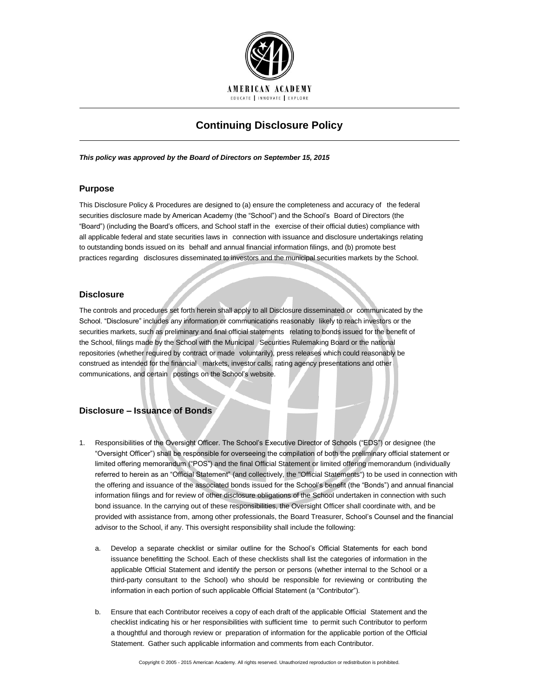

# **Continuing Disclosure Policy**

### *This policy was approved by the Board of Directors on September 15, 2015*

# **Purpose**

This Disclosure Policy & Procedures are designed to (a) ensure the completeness and accuracy of the federal securities disclosure made by American Academy (the "School") and the School's Board of Directors (the "Board") (including the Board's officers, and School staff in the exercise of their official duties) compliance with all applicable federal and state securities laws in connection with issuance and disclosure undertakings relating to outstanding bonds issued on its behalf and annual financial information filings, and (b) promote best practices regarding disclosures disseminated to investors and the municipal securities markets by the School.

# **Disclosure**

The controls and procedures set forth herein shall apply to all Disclosure disseminated or communicated by the School. "Disclosure" includes any information or communications reasonably likely to reach investors or the securities markets, such as preliminary and final official statements relating to bonds issued for the benefit of the School, filings made by the School with the Municipal Securities Rulemaking Board or the national repositories (whether required by contract or made voluntarily), press releases which could reasonably be construed as intended for the financial markets, investor calls, rating agency presentations and other communications, and certain postings on the School's website.

# **Disclosure – Issuance of Bonds**

- 1. Responsibilities of the Oversight Officer. The School's Executive Director of Schools ("EDS") or designee (the "Oversight Officer") shall be responsible for overseeing the compilation of both the preliminary official statement or limited offering memorandum ("POS") and the final Official Statement or limited offering memorandum (individually referred to herein as an "Official Statement" (and collectively, the "Official Statements") to be used in connection with the offering and issuance of the associated bonds issued for the School's benefit (the "Bonds") and annual financial information filings and for review of other disclosure obligations of the School undertaken in connection with such bond issuance. In the carrying out of these responsibilities, the Oversight Officer shall coordinate with, and be provided with assistance from, among other professionals, the Board Treasurer, School's Counsel and the financial advisor to the School, if any. This oversight responsibility shall include the following:
	- a. Develop a separate checklist or similar outline for the School's Official Statements for each bond issuance benefitting the School. Each of these checklists shall list the categories of information in the applicable Official Statement and identify the person or persons (whether internal to the School or a third-party consultant to the School) who should be responsible for reviewing or contributing the information in each portion of such applicable Official Statement (a "Contributor").
	- b. Ensure that each Contributor receives a copy of each draft of the applicable Official Statement and the checklist indicating his or her responsibilities with sufficient time to permit such Contributor to perform a thoughtful and thorough review or preparation of information for the applicable portion of the Official Statement. Gather such applicable information and comments from each Contributor.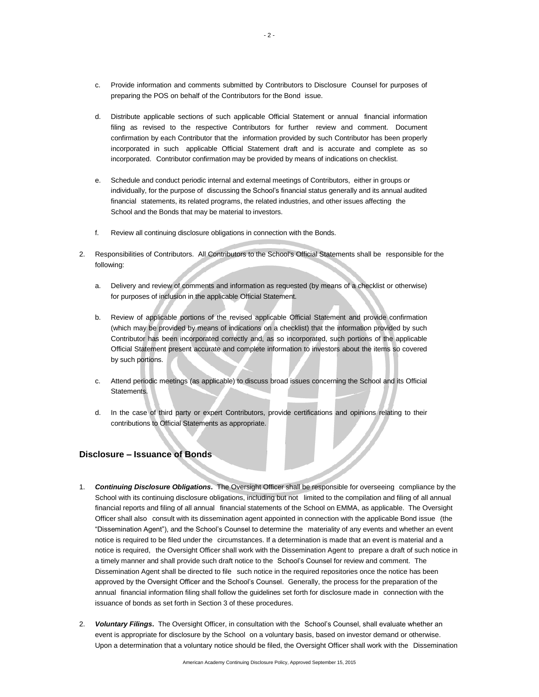- c. Provide information and comments submitted by Contributors to Disclosure Counsel for purposes of preparing the POS on behalf of the Contributors for the Bond issue.
- d. Distribute applicable sections of such applicable Official Statement or annual financial information filing as revised to the respective Contributors for further review and comment. Document confirmation by each Contributor that the information provided by such Contributor has been properly incorporated in such applicable Official Statement draft and is accurate and complete as so incorporated. Contributor confirmation may be provided by means of indications on checklist.
- e. Schedule and conduct periodic internal and external meetings of Contributors, either in groups or individually, for the purpose of discussing the School's financial status generally and its annual audited financial statements, its related programs, the related industries, and other issues affecting the School and the Bonds that may be material to investors.
- f. Review all continuing disclosure obligations in connection with the Bonds.
- 2. Responsibilities of Contributors. All Contributors to the School's Official Statements shall be responsible for the following:
	- a. Delivery and review of comments and information as requested (by means of a checklist or otherwise) for purposes of inclusion in the applicable Official Statement.
	- b. Review of applicable portions of the revised applicable Official Statement and provide confirmation (which may be provided by means of indications on a checklist) that the information provided by such Contributor has been incorporated correctly and, as so incorporated, such portions of the applicable Official Statement present accurate and complete information to investors about the items so covered by such portions.
	- c. Attend periodic meetings (as applicable) to discuss broad issues concerning the School and its Official Statements.
	- d. In the case of third party or expert Contributors, provide certifications and opinions relating to their contributions to Official Statements as appropriate.

# **Disclosure – Issuance of Bonds**

- 1. *Continuing Disclosure Obligations***.** The Oversight Officer shall be responsible for overseeing compliance by the School with its continuing disclosure obligations, including but not limited to the compilation and filing of all annual financial reports and filing of all annual financial statements of the School on EMMA, as applicable. The Oversight Officer shall also consult with its dissemination agent appointed in connection with the applicable Bond issue (the "Dissemination Agent"), and the School's Counsel to determine the materiality of any events and whether an event notice is required to be filed under the circumstances. If a determination is made that an event is material and a notice is required, the Oversight Officer shall work with the Dissemination Agent to prepare a draft of such notice in a timely manner and shall provide such draft notice to the School's Counsel for review and comment. The Dissemination Agent shall be directed to file such notice in the required repositories once the notice has been approved by the Oversight Officer and the School's Counsel. Generally, the process for the preparation of the annual financial information filing shall follow the guidelines set forth for disclosure made in connection with the issuance of bonds as set forth in Section 3 of these procedures.
- 2. *Voluntary Filings***.** The Oversight Officer, in consultation with the School's Counsel, shall evaluate whether an event is appropriate for disclosure by the School on a voluntary basis, based on investor demand or otherwise. Upon a determination that a voluntary notice should be filed, the Oversight Officer shall work with the Dissemination